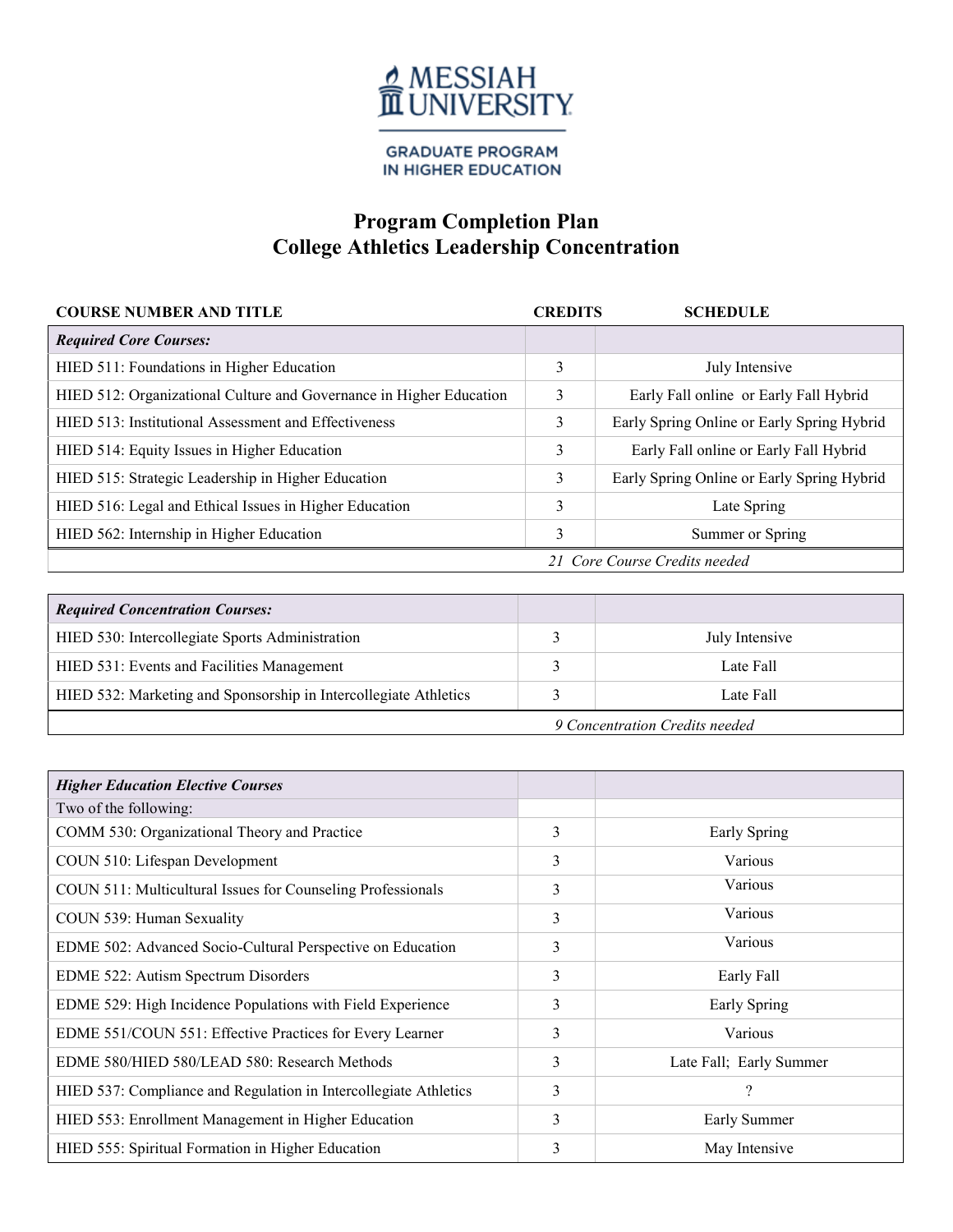

**GRADUATE PROGRAM** IN HIGHER EDUCATION

## **Program Completion Plan College Athletics Leadership Concentration**

| <b>COURSE NUMBER AND TITLE</b>                                      | <b>CREDITS</b> | <b>SCHEDULE</b>                            |
|---------------------------------------------------------------------|----------------|--------------------------------------------|
| <b>Required Core Courses:</b>                                       |                |                                            |
| HIED 511: Foundations in Higher Education                           | 3              | July Intensive                             |
| HIED 512: Organizational Culture and Governance in Higher Education | 3              | Early Fall online or Early Fall Hybrid     |
| HIED 513: Institutional Assessment and Effectiveness                | 3              | Early Spring Online or Early Spring Hybrid |
| HIED 514: Equity Issues in Higher Education                         | 3              | Early Fall online or Early Fall Hybrid     |
| HIED 515: Strategic Leadership in Higher Education                  | 3              | Early Spring Online or Early Spring Hybrid |
| HIED 516: Legal and Ethical Issues in Higher Education              | 3              | Late Spring                                |
| HIED 562: Internship in Higher Education                            | 3              | Summer or Spring                           |
| 21 Core Course Credits needed                                       |                |                                            |

| <b>Required Concentration Courses:</b>                           |  |                |
|------------------------------------------------------------------|--|----------------|
| HIED 530: Intercollegiate Sports Administration                  |  | July Intensive |
| HIED 531: Events and Facilities Management                       |  | Late Fall      |
| HIED 532: Marketing and Sponsorship in Intercollegiate Athletics |  | Late Fall      |
| 9 Concentration Credits needed                                   |  |                |

| <b>Higher Education Elective Courses</b>                         |   |                          |
|------------------------------------------------------------------|---|--------------------------|
| Two of the following:                                            |   |                          |
| COMM 530: Organizational Theory and Practice                     | 3 | Early Spring             |
| COUN 510: Lifespan Development                                   | 3 | Various                  |
| COUN 511: Multicultural Issues for Counseling Professionals      | 3 | Various                  |
| COUN 539: Human Sexuality                                        | 3 | Various                  |
| EDME 502: Advanced Socio-Cultural Perspective on Education       | 3 | Various                  |
| EDME 522: Autism Spectrum Disorders                              | 3 | Early Fall               |
| EDME 529: High Incidence Populations with Field Experience       | 3 | Early Spring             |
| EDME 551/COUN 551: Effective Practices for Every Learner         | 3 | Various                  |
| EDME 580/HIED 580/LEAD 580: Research Methods                     | 3 | Late Fall; Early Summer  |
| HIED 537: Compliance and Regulation in Intercollegiate Athletics | 3 | $\overline{\mathcal{L}}$ |
| HIED 553: Enrollment Management in Higher Education              | 3 | Early Summer             |
| HIED 555: Spiritual Formation in Higher Education                | 3 | May Intensive            |